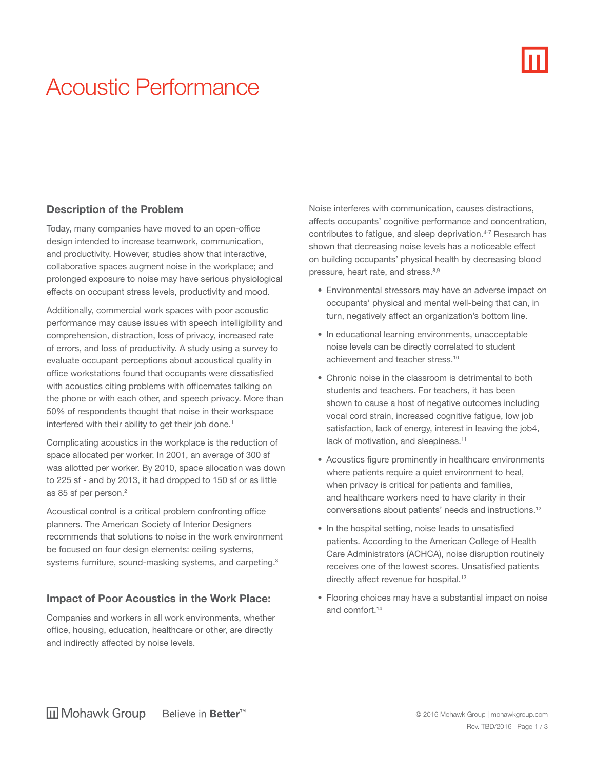# Acoustic Performance

## Description of the Problem

Today, many companies have moved to an open-office design intended to increase teamwork, communication, and productivity. However, studies show that interactive, collaborative spaces augment noise in the workplace; and prolonged exposure to noise may have serious physiological effects on occupant stress levels, productivity and mood.

Additionally, commercial work spaces with poor acoustic performance may cause issues with speech intelligibility and comprehension, distraction, loss of privacy, increased rate of errors, and loss of productivity. A study using a survey to evaluate occupant perceptions about acoustical quality in office workstations found that occupants were dissatisfied with acoustics citing problems with officemates talking on the phone or with each other, and speech privacy. More than 50% of respondents thought that noise in their workspace interfered with their ability to get their job done.<sup>1</sup>

Complicating acoustics in the workplace is the reduction of space allocated per worker. In 2001, an average of 300 sf was allotted per worker. By 2010, space allocation was down to 225 sf - and by 2013, it had dropped to 150 sf or as little as 85 sf per person.<sup>2</sup>

Acoustical control is a critical problem confronting office planners. The American Society of Interior Designers recommends that solutions to noise in the work environment be focused on four design elements: ceiling systems, systems furniture, sound-masking systems, and carpeting.<sup>3</sup>

### Impact of Poor Acoustics in the Work Place:

Companies and workers in all work environments, whether office, housing, education, healthcare or other, are directly and indirectly affected by noise levels.

Noise interferes with communication, causes distractions, affects occupants' cognitive performance and concentration, contributes to fatigue, and sleep deprivation.<sup>4-7</sup> Research has shown that decreasing noise levels has a noticeable effect on building occupants' physical health by decreasing blood pressure, heart rate, and stress.<sup>8,9</sup>

- Environmental stressors may have an adverse impact on occupants' physical and mental well-being that can, in turn, negatively affect an organization's bottom line.
- In educational learning environments, unacceptable noise levels can be directly correlated to student achievement and teacher stress.10
- Chronic noise in the classroom is detrimental to both students and teachers. For teachers, it has been shown to cause a host of negative outcomes including vocal cord strain, increased cognitive fatigue, low job satisfaction, lack of energy, interest in leaving the job4, lack of motivation, and sleepiness.<sup>11</sup>
- Acoustics figure prominently in healthcare environments where patients require a quiet environment to heal. when privacy is critical for patients and families, and healthcare workers need to have clarity in their conversations about patients' needs and instructions.12
- In the hospital setting, noise leads to unsatisfied patients. According to the American College of Health Care Administrators (ACHCA), noise disruption routinely receives one of the lowest scores. Unsatisfied patients directly affect revenue for hospital.<sup>13</sup>
- Flooring choices may have a substantial impact on noise and comfort.14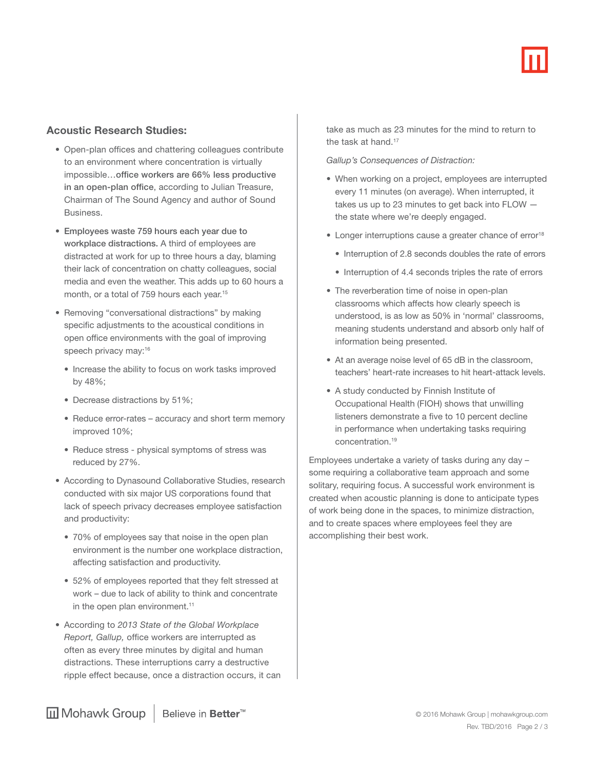#### Acoustic Research Studies:

- Open-plan offices and chattering colleagues contribute to an environment where concentration is virtually impossible…office workers are 66% less productive in an open-plan office, according to Julian Treasure, Chairman of The Sound Agency and author of Sound Business.
- Employees waste 759 hours each year due to workplace distractions. A third of employees are distracted at work for up to three hours a day, blaming their lack of concentration on chatty colleagues, social media and even the weather. This adds up to 60 hours a month, or a total of 759 hours each year.<sup>15</sup>
- Removing "conversational distractions" by making specific adjustments to the acoustical conditions in open office environments with the goal of improving speech privacy may:<sup>16</sup>
	- Increase the ability to focus on work tasks improved by 48%;
	- Decrease distractions by 51%;
	- Reduce error-rates accuracy and short term memory improved 10%;
	- Reduce stress physical symptoms of stress was reduced by 27%.
- According to Dynasound Collaborative Studies, research conducted with six major US corporations found that lack of speech privacy decreases employee satisfaction and productivity:
	- 70% of employees say that noise in the open plan environment is the number one workplace distraction, affecting satisfaction and productivity.
	- 52% of employees reported that they felt stressed at work – due to lack of ability to think and concentrate in the open plan environment.<sup>11</sup>
- According to *2013 State of the Global Workplace Report, Gallup,* office workers are interrupted as often as every three minutes by digital and human distractions. These interruptions carry a destructive ripple effect because, once a distraction occurs, it can

take as much as 23 minutes for the mind to return to the task at hand.<sup>17</sup>

 *Gallup's Consequences of Distraction:*

- When working on a project, employees are interrupted every 11 minutes (on average). When interrupted, it takes us up to 23 minutes to get back into FLOW the state where we're deeply engaged.
- Longer interruptions cause a greater chance of error<sup>18</sup>
	- Interruption of 2.8 seconds doubles the rate of errors
	- Interruption of 4.4 seconds triples the rate of errors
- The reverberation time of noise in open-plan classrooms which affects how clearly speech is understood, is as low as 50% in 'normal' classrooms, meaning students understand and absorb only half of information being presented.
- At an average noise level of 65 dB in the classroom, teachers' heart-rate increases to hit heart-attack levels.
- A study conducted by Finnish Institute of Occupational Health (FIOH) shows that unwilling listeners demonstrate a five to 10 percent decline in performance when undertaking tasks requiring concentration.19

Employees undertake a variety of tasks during any day – some requiring a collaborative team approach and some solitary, requiring focus. A successful work environment is created when acoustic planning is done to anticipate types of work being done in the spaces, to minimize distraction, and to create spaces where employees feel they are accomplishing their best work.